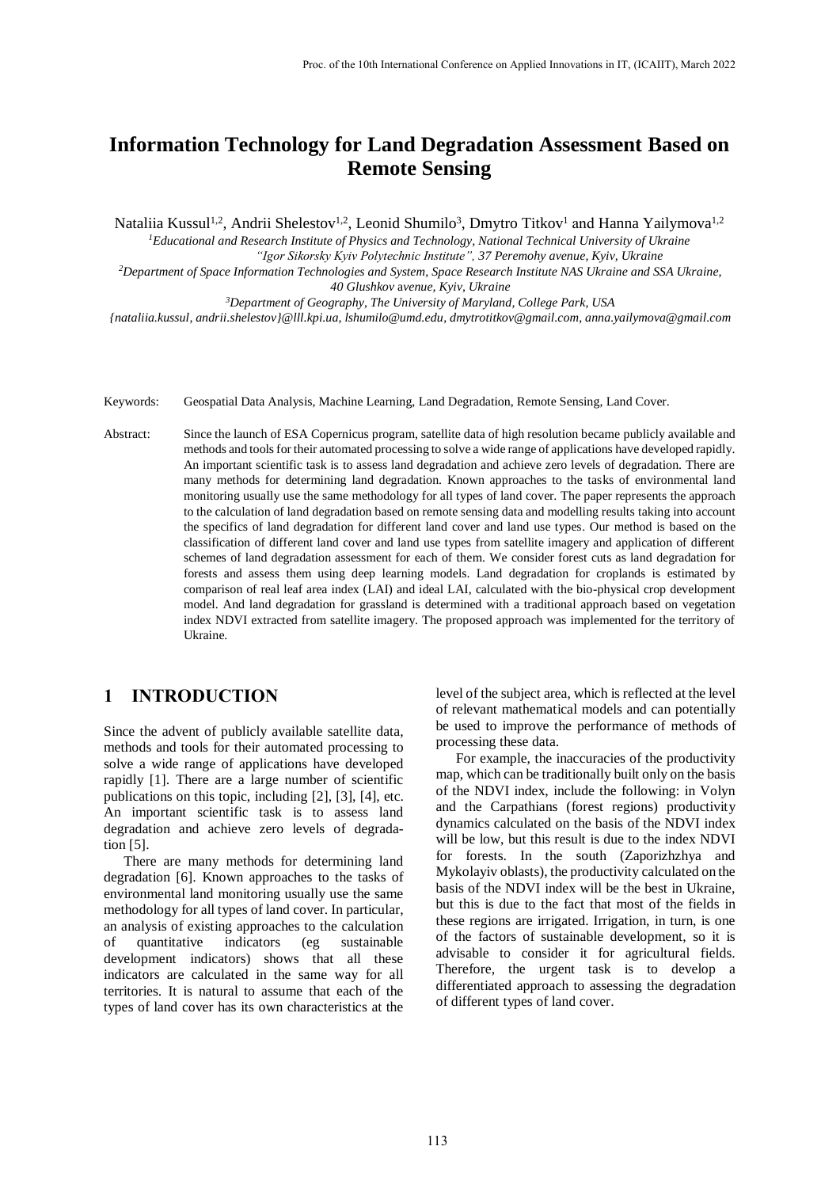# **Information Technology for Land Degradation Assessment Based on Remote Sensing**

Nataliia Kussul<sup>1,2</sup>, Andrii Shelestov<sup>1,2</sup>, Leonid Shumilo<sup>3</sup>, Dmytro Titkov<sup>1</sup> and Hanna Yailymova<sup>1,2</sup>

*Educational and Research Institute of Physics and Technology, National Technical University of Ukraine "Igor Sikorsky Kyiv Polytechnic Institute", 37 Peremohy avenue, Kyiv, Ukraine Department of Space Information Technologies and System, Space Research Institute NAS Ukraine and SSA Ukraine, Glushkov* a*venue, Kyiv, Ukraine Department of Geography, The University of Maryland, College Park, USA*

*{nataliia.kussul, andrii.shelestov}@lll.kpi.ua[, lshumilo@umd.edu,](mailto:lshumilo@umd.edu) dmytrotitkov@gmail.com, [anna.yailymova@gmail.com](mailto:anna.yailymova@gmail.com)*

Keywords: Geospatial Data Analysis, Machine Learning, Land Degradation, Remote Sensing, Land Cover.

Abstract: Since the launch of ESA Copernicus program, satellite data of high resolution became publicly available and methods and tools for their automated processing to solve a wide range of applications have developed rapidly. An important scientific task is to assess land degradation and achieve zero levels of degradation. There are many methods for determining land degradation. Known approaches to the tasks of environmental land monitoring usually use the same methodology for all types of land cover. The paper represents the approach to the calculation of land degradation based on remote sensing data and modelling results taking into account the specifics of land degradation for different land cover and land use types. Our method is based on the classification of different land cover and land use types from satellite imagery and application of different schemes of land degradation assessment for each of them. We consider forest cuts as land degradation for forests and assess them using deep learning models. Land degradation for croplands is estimated by comparison of real leaf area index (LAI) and ideal LAI, calculated with the bio-physical crop development model. And land degradation for grassland is determined with a traditional approach based on vegetation index NDVI extracted from satellite imagery. The proposed approach was implemented for the territory of Ukraine.

## **1 INTRODUCTION**

Since the advent of publicly available satellite data, methods and tools for their automated processing to solve a wide range of applications have developed rapidly [1]. There are a large number of scientific publications on this topic, including [2], [3], [4], etc. An important scientific task is to assess land degradation and achieve zero levels of degradation [5].

There are many methods for determining land degradation [6]. Known approaches to the tasks of environmental land monitoring usually use the same methodology for all types of land cover. In particular, an analysis of existing approaches to the calculation of quantitative indicators (eg sustainable development indicators) shows that all these indicators are calculated in the same way for all territories. It is natural to assume that each of the types of land cover has its own characteristics at the

level of the subject area, which is reflected at the level of relevant mathematical models and can potentially be used to improve the performance of methods of processing these data.

For example, the inaccuracies of the productivity map, which can be traditionally built only on the basis of the NDVI index, include the following: in Volyn and the Carpathians (forest regions) productivity dynamics calculated on the basis of the NDVI index will be low, but this result is due to the index NDVI for forests. In the south (Zaporizhzhya and Mykolayiv oblasts), the productivity calculated on the basis of the NDVI index will be the best in Ukraine, but this is due to the fact that most of the fields in these regions are irrigated. Irrigation, in turn, is one of the factors of sustainable development, so it is advisable to consider it for agricultural fields. Therefore, the urgent task is to develop a differentiated approach to assessing the degradation of different types of land cover.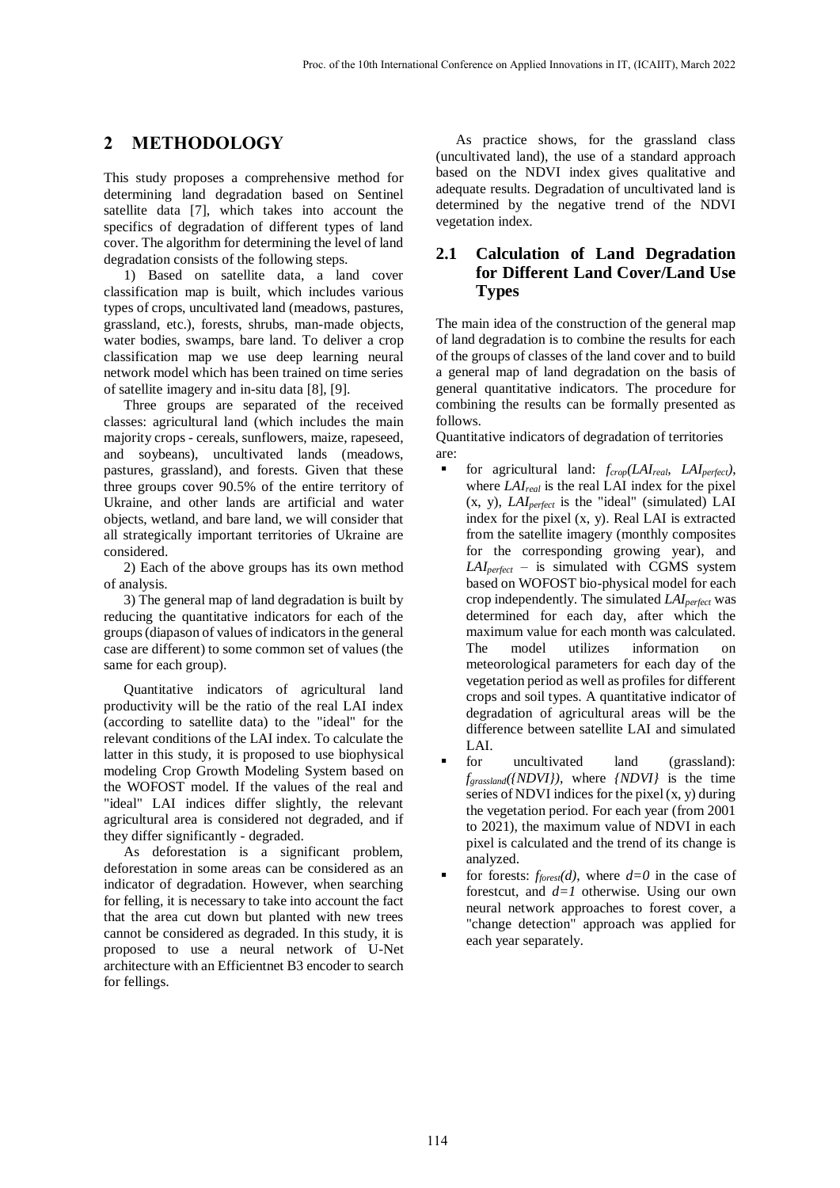## **2 METHODOLOGY**

This study proposes a comprehensive method for determining land degradation based on Sentinel satellite data [7], which takes into account the specifics of degradation of different types of land cover. The algorithm for determining the level of land degradation consists of the following steps.

1) Based on satellite data, a land cover classification map is built, which includes various types of crops, uncultivated land (meadows, pastures, grassland, etc.), forests, shrubs, man-made objects, water bodies, swamps, bare land. To deliver a crop classification map we use deep learning neural network model which has been trained on time series of satellite imagery and in-situ data [8], [9].

Three groups are separated of the received classes: agricultural land (which includes the main majority crops - cereals, sunflowers, maize, rapeseed, and soybeans), uncultivated lands (meadows, pastures, grassland), and forests. Given that these three groups cover 90.5% of the entire territory of Ukraine, and other lands are artificial and water objects, wetland, and bare land, we will consider that all strategically important territories of Ukraine are considered.

2) Each of the above groups has its own method of analysis.

3) The general map of land degradation is built by reducing the quantitative indicators for each of the groups (diapason of values of indicators in the general case are different) to some common set of values (the same for each group).

Quantitative indicators of agricultural land productivity will be the ratio of the real LAI index (according to satellite data) to the "ideal" for the relevant conditions of the LAI index. To calculate the latter in this study, it is proposed to use biophysical modeling Crop Growth Modeling System based on the WOFOST model. If the values of the real and "ideal" LAI indices differ slightly, the relevant agricultural area is considered not degraded, and if they differ significantly - degraded.

As deforestation is a significant problem, deforestation in some areas can be considered as an indicator of degradation. However, when searching for felling, it is necessary to take into account the fact that the area cut down but planted with new trees cannot be considered as degraded. In this study, it is proposed to use a neural network of U-Net architecture with an Efficientnet B3 encoder to search for fellings.

As practice shows, for the grassland class (uncultivated land), the use of a standard approach based on the NDVI index gives qualitative and adequate results. Degradation of uncultivated land is determined by the negative trend of the NDVI vegetation index.

## **2.1 Calculation of Land Degradation for Different Land Cover/Land Use Types**

The main idea of the construction of the general map of land degradation is to combine the results for each of the groups of classes of the land cover and to build a general map of land degradation on the basis of general quantitative indicators. The procedure for combining the results can be formally presented as follows.

Quantitative indicators of degradation of territories are:

- for agricultural land: *fcrop(LAIreal, LAIperfect)*, where *LAIreal* is the real LAI index for the pixel (x, y), *LAIperfect* is the "ideal" (simulated) LAI index for the pixel (x, y). Real LAI is extracted from the satellite imagery (monthly composites for the corresponding growing year), and *LAIperfect* – is simulated with CGMS system based on WOFOST bio-physical model for each crop independently. The simulated *LAIperfect* was determined for each day, after which the maximum value for each month was calculated. The model utilizes information on meteorological parameters for each day of the vegetation period as well as profiles for different crops and soil types. A quantitative indicator of degradation of agricultural areas will be the difference between satellite LAI and simulated LAI.
- for uncultivated land (grassland): *fgrassland({NDVI})*, where *{NDVI}* is the time series of NDVI indices for the pixel (x, y) during the vegetation period. For each year (from 2001 to 2021), the maximum value of NDVI in each pixel is calculated and the trend of its change is analyzed.
- for forests:  $f_{forest}(d)$ , where  $d=0$  in the case of forestcut, and *d=1* otherwise. Using our own neural network approaches to forest cover, a "change detection" approach was applied for each year separately.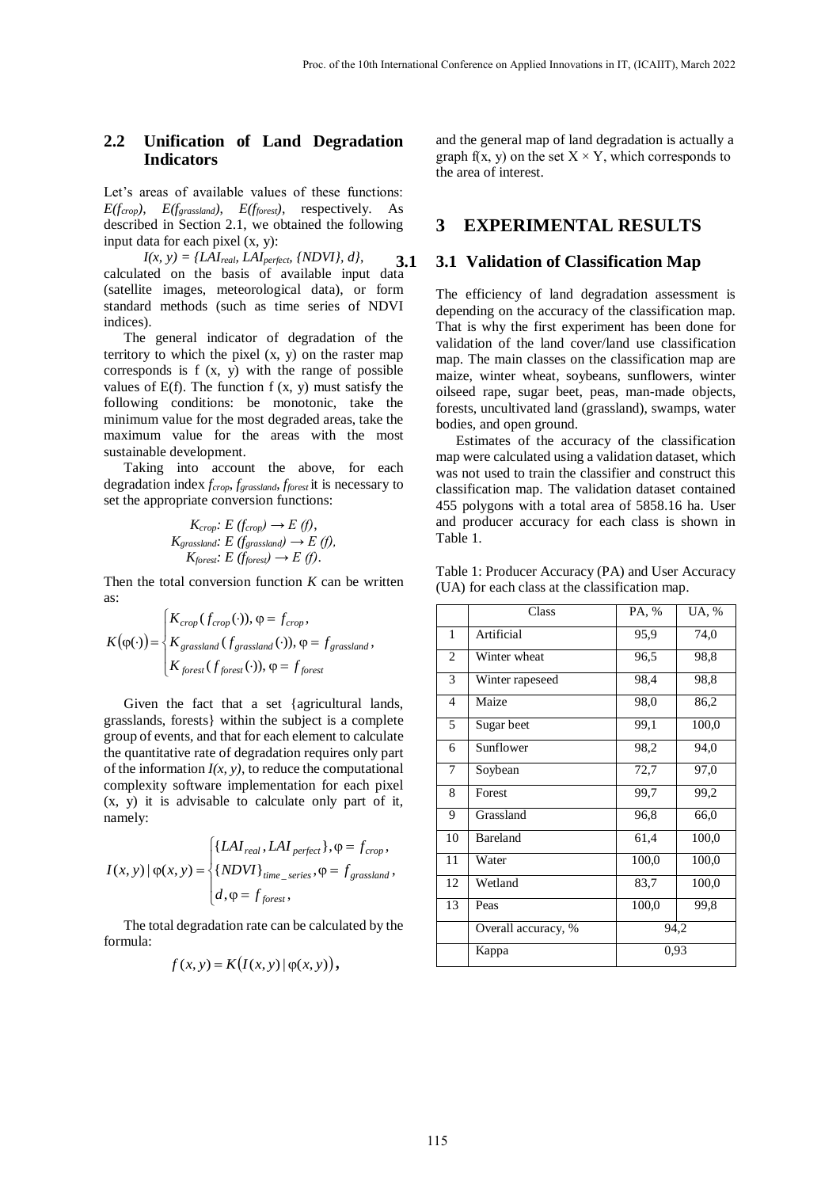## **2.2 Unification of Land Degradation Indicators**

Let's areas of available values of these functions:  $E(f_{\text{crop}})$ ,  $E(f_{\text{gravsland}})$ ,  $E(f_{\text{forest}})$ , respectively. As described in Section 2.1, we obtained the following input data for each pixel (x, y):

$$
K_{crop}: E (f_{crop}) \to E (f),
$$
  
\n
$$
K_{gravsland}: E (f_{gravsland}) \to E (f),
$$
  
\n
$$
K_{forest}: E (f_{forest}) \to E (f).
$$

Then the total conversion function *K* can be written as:

$$
K(\varphi(\cdot)) = \begin{cases} K_{\text{crop}}(f_{\text{crop}}(\cdot)), \varphi = f_{\text{crop}}, \\ K_{\text{grassland}}(f_{\text{grassland}}(\cdot)), \varphi = f_{\text{grassland}}, \\ K_{\text{forest}}(f_{\text{forest}}(\cdot)), \varphi = f_{\text{forest}} \end{cases}
$$
1 Artif

$$
I(x, y) | \varphi(x, y) = \begin{cases} \{LAI_{real}, LAI_{perfect}\}, \varphi = f_{crop}, \\ \{NDVI\}_{time\_series}, \varphi = f_{grassland}, \\ d, \varphi = f_{forest}, \end{cases}
$$

The total degradation rate can be calculated by the formula:

$$
f(x, y) = K(I(x, y) | \varphi(x, y)),
$$
 Laplace

## **3 EXPERIMENTAL RESULTS**

#### **3.1 3.1 Validation of Classification Map**

| Proc. of the 10th International Conference on Applied Innovations in IT, (ICAIIT), March 2022                                                                                            |                |                                                                                                                                                |               |               |
|------------------------------------------------------------------------------------------------------------------------------------------------------------------------------------------|----------------|------------------------------------------------------------------------------------------------------------------------------------------------|---------------|---------------|
|                                                                                                                                                                                          |                |                                                                                                                                                |               |               |
| Unification of Land Degradation<br><b>Indicators</b>                                                                                                                                     |                | and the general map of land degradation is actually a<br>graph f(x, y) on the set $X \times Y$ , which corresponds to<br>the area of interest. |               |               |
| t's areas of available values of these functions:<br>$f_{\text{crop}}$ , $E(f_{\text{gravsland}})$ , $E(f_{\text{forest}})$ , respectively. As                                           |                |                                                                                                                                                |               |               |
| scribed in Section 2.1, we obtained the following<br>but data for each pixel (x, y):                                                                                                     |                | 3 EXPERIMENTAL RESULTS                                                                                                                         |               |               |
| $I(x, y) = \{LAI_{real}, LAI_{perfect}, \{NDVI\}, d\},\$<br>3.1<br>lculated on the basis of available input data                                                                         |                | 3.1 Validation of Classification Map                                                                                                           |               |               |
| itellite images, meteorological data), or form<br>indard methods (such as time series of NDVI                                                                                            |                | The efficiency of land degradation assessment is<br>depending on the accuracy of the classification map.                                       |               |               |
| lices).<br>The general indicator of degradation of the                                                                                                                                   |                | That is why the first experiment has been done for<br>validation of the land cover/land use classification                                     |               |               |
| ritory to which the pixel $(x, y)$ on the raster map<br>rresponds is f (x, y) with the range of possible                                                                                 |                | map. The main classes on the classification map are<br>maize, winter wheat, soybeans, sunflowers, winter                                       |               |               |
| lues of $E(f)$ . The function $f(x, y)$ must satisfy the<br>lowing conditions: be monotonic, take the                                                                                    |                | oilseed rape, sugar beet, peas, man-made objects,<br>forests, uncultivated land (grassland), swamps, water                                     |               |               |
| nimum value for the most degraded areas, take the<br>aximum value for the areas with the most                                                                                            |                | bodies, and open ground.<br>Estimates of the accuracy of the classification                                                                    |               |               |
| stainable development.<br>Taking into account the above, for each                                                                                                                        |                | map were calculated using a validation dataset, which<br>was not used to train the classifier and construct this                               |               |               |
| gradation index $f_{crop}$ , $f_{grassland}$ , $f_{forest}$ it is necessary to<br>the appropriate conversion functions:                                                                  |                | classification map. The validation dataset contained<br>455 polygons with a total area of 5858.16 ha. User                                     |               |               |
| $K_{\text{crop}}$ : $E(f_{\text{crop}}) \rightarrow E(f)$ ,<br>$K_{grassland}: E(f_{grassland}) \rightarrow E(f),$                                                                       | Table 1.       | and producer accuracy for each class is shown in                                                                                               |               |               |
| $K_{forest}: E(f_{forest}) \to E(f).$<br>en the total conversion function $K$ can be written                                                                                             |                | Table 1: Producer Accuracy (PA) and User Accuracy                                                                                              |               |               |
|                                                                                                                                                                                          |                | (UA) for each class at the classification map.<br>Class                                                                                        | PA, %         | UA, %         |
| $(\varphi(\cdot)) = \begin{cases} K_{crop}(f_{crop}(\cdot)), \varphi = f_{crop}, \\ K_{grassland}(f_{grassland}(\cdot)), \varphi = f_{grassland}, \end{cases}$                           |                | Artificial                                                                                                                                     | 95,9          | 74,0          |
| $K_{forest}(f_{forest}(\cdot)), \varphi = f_{forest}$                                                                                                                                    | 3              | Winter wheat<br>Winter rapeseed                                                                                                                | 96,5<br>98,4  | 98,8<br>98,8  |
| Given the fact that a set {agricultural lands,                                                                                                                                           | 4              | Maize                                                                                                                                          | 98,0          | 86,2          |
| asslands, forests} within the subject is a complete<br>bup of events, and that for each element to calculate                                                                             | 5 <sup>5</sup> | Sugar beet                                                                                                                                     | 99,1          | 100,0         |
| e quantitative rate of degradation requires only part<br>the information $I(x, y)$ , to reduce the computational                                                                         | 6              | Sunflower<br>7 Soybean                                                                                                                         | 98,2<br>72,7  | 94,0<br>97,0  |
| mplexity software implementation for each pixel<br>y) it is advisable to calculate only part of it,                                                                                      |                | 8 Forest                                                                                                                                       | 99,7          | 99,2          |
| mely:                                                                                                                                                                                    | 9              | Grassland<br>10 Bareland                                                                                                                       | 96,8<br>61,4  | 66,0<br>100,0 |
| $(x, y)   \varphi(x, y) = \begin{cases} \{LAI_{real}, LAI_{perfect}\}, \varphi = f_{crop}, \\ \{NDVI\}_{time\_series}, \varphi = f_{grassland}, \\ d, \varphi = f_{forest}, \end{cases}$ |                | 11 Water                                                                                                                                       | 100,0         | 100,0         |
|                                                                                                                                                                                          | 12             | Wetland<br>$13$ Peas                                                                                                                           | 83,7<br>100,0 | 100,0<br>99,8 |
| The total degradation rate can be calculated by the                                                                                                                                      |                | Overall accuracy, %                                                                                                                            |               | 94,2          |
| mula:                                                                                                                                                                                    |                |                                                                                                                                                |               |               |

Table 1: Producer Accuracy (PA) and User Accuracy (UA) for each class at the classification map.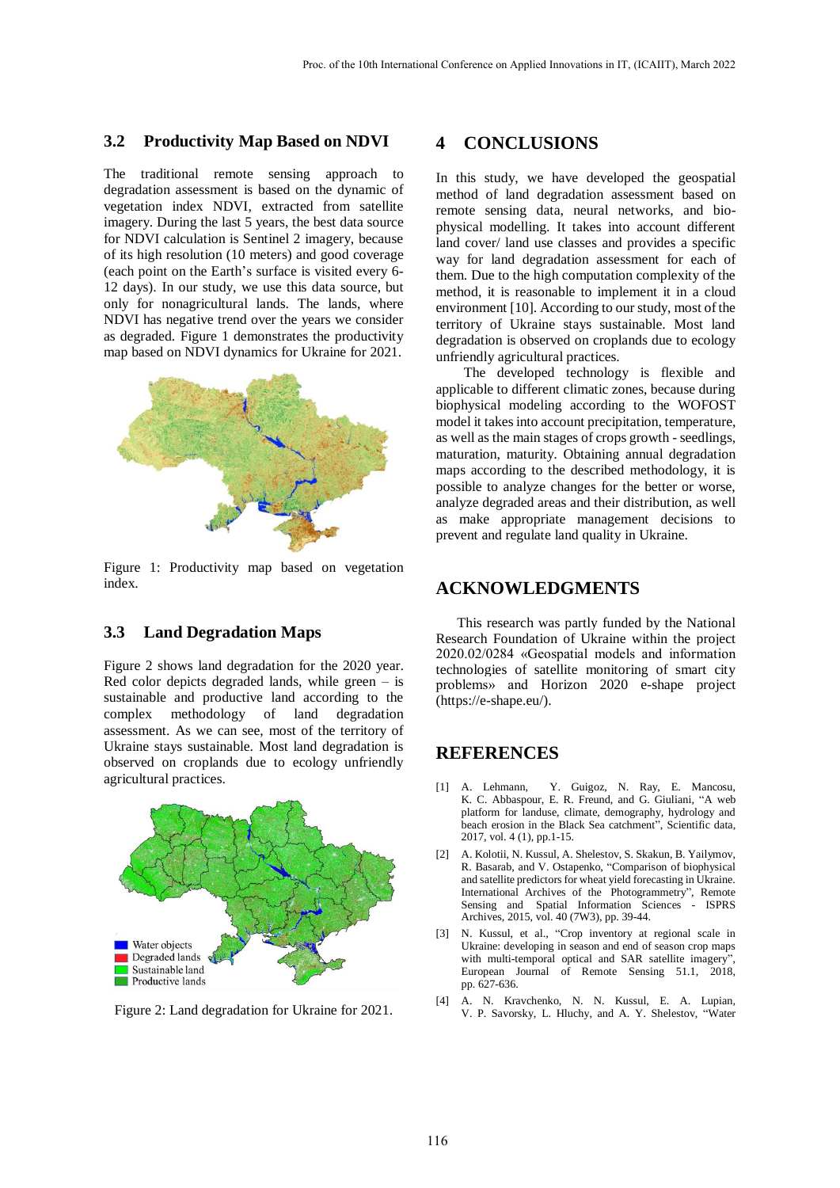#### **3.2 Productivity Map Based on NDVI**

The traditional remote sensing approach to degradation assessment is based on the dynamic of vegetation index NDVI, extracted from satellite imagery. During the last 5 years, the best data source for NDVI calculation is Sentinel 2 imagery, because of its high resolution (10 meters) and good coverage (each point on the Earth's surface is visited every 6- 12 days). In our study, we use this data source, but only for nonagricultural lands. The lands, where NDVI has negative trend over the years we consider as degraded. Figure 1 demonstrates the productivity map based on NDVI dynamics for Ukraine for 2021.



Figure 1: Productivity map based on vegetation index.

## **3.3 Land Degradation Maps**

Figure 2 shows land degradation for the 2020 year. Red color depicts degraded lands, while green  $-$  is sustainable and productive land according to the complex methodology of land degradation assessment. As we can see, most of the territory of Ukraine stays sustainable. Most land degradation is observed on croplands due to ecology unfriendly agricultural practices.



Figure 2: Land degradation for Ukraine for 2021.

## **4 CONCLUSIONS**

In this study, we have developed the geospatial method of land degradation assessment based on remote sensing data, neural networks, and biophysical modelling. It takes into account different land cover/ land use classes and provides a specific way for land degradation assessment for each of them. Due to the high computation complexity of the method, it is reasonable to implement it in a cloud environment [10]. According to our study, most of the territory of Ukraine stays sustainable. Most land degradation is observed on croplands due to ecology unfriendly agricultural practices.

The developed technology is flexible and applicable to different climatic zones, because during biophysical modeling according to the WOFOST model it takes into account precipitation, temperature, as well as the main stages of crops growth - seedlings, maturation, maturity. Obtaining annual degradation maps according to the described methodology, it is possible to analyze changes for the better or worse, analyze degraded areas and their distribution, as well as make appropriate management decisions to prevent and regulate land quality in Ukraine.

## **ACKNOWLEDGMENTS**

This research was partly funded by the National Research Foundation of Ukraine within the project 2020.02/0284 «Geospatial models and information technologies of satellite monitoring of smart city problems» and Horizon 2020 e-shape project [\(https://e-shape.eu/\)](https://e-shape.eu/).

## **REFERENCES**

- [1] A. Lehmann, Y. Guigoz, N. Ray, E. Mancosu, K. C. Abbaspour, E. R. Freund, and G. Giuliani, "A web platform for landuse, climate, demography, hydrology and beach erosion in the Black Sea catchment", Scientific data, 2017, vol. 4 (1), pp.1-15.
- [2] A. Kolotii, N. Kussul, A. Shelestov, S. Skakun, B. Yailymov, R. Basarab, and V. Ostapenko, "Comparison of biophysical and satellite predictors for wheat yield forecasting in Ukraine. International Archives of the Photogrammetry", Remote Sensing and Spatial Information Sciences - ISPRS Archives, 2015, vol. 40 (7W3), pp. 39-44.
- [3] N. Kussul, et al., "Crop inventory at regional scale in Ukraine: developing in season and end of season crop maps with multi-temporal optical and SAR satellite imagery", European Journal of Remote Sensing 51.1, 2018, pp. 627-636.
- [4] A. N. Kravchenko, N. N. Kussul, E. A. Lupian, V. P. Savorsky, L. Hluchy, and A. Y. Shelestov, "Water